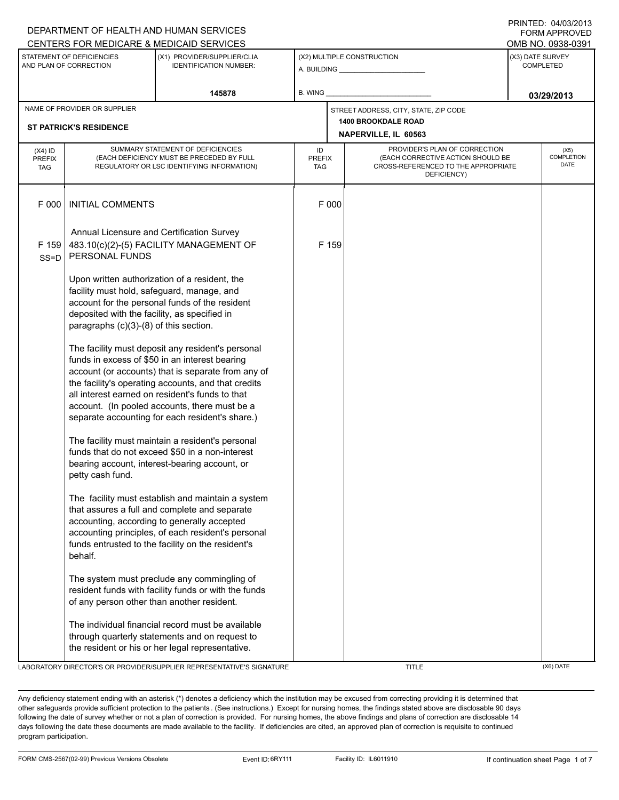|                                                                                                                               |                                                                                                                                                                                                                                                                                                                                                                                                                                                                                                                                                                                                                    | DEPARTMENT OF HEALTH AND HUMAN SERVICES<br>CENTERS FOR MEDICARE & MEDICAID SERVICES                                                                                                                                                                          |                                   |                            |                                                                                                                          |  | FORM APPROVED<br>OMB NO. 0938-0391   |
|-------------------------------------------------------------------------------------------------------------------------------|--------------------------------------------------------------------------------------------------------------------------------------------------------------------------------------------------------------------------------------------------------------------------------------------------------------------------------------------------------------------------------------------------------------------------------------------------------------------------------------------------------------------------------------------------------------------------------------------------------------------|--------------------------------------------------------------------------------------------------------------------------------------------------------------------------------------------------------------------------------------------------------------|-----------------------------------|----------------------------|--------------------------------------------------------------------------------------------------------------------------|--|--------------------------------------|
| STATEMENT OF DEFICIENCIES<br>(X1) PROVIDER/SUPPLIER/CLIA<br>AND PLAN OF CORRECTION<br><b>IDENTIFICATION NUMBER:</b><br>145878 |                                                                                                                                                                                                                                                                                                                                                                                                                                                                                                                                                                                                                    |                                                                                                                                                                                                                                                              |                                   | (X2) MULTIPLE CONSTRUCTION |                                                                                                                          |  | (X3) DATE SURVEY<br><b>COMPLETED</b> |
|                                                                                                                               |                                                                                                                                                                                                                                                                                                                                                                                                                                                                                                                                                                                                                    | <b>B. WING</b>                                                                                                                                                                                                                                               |                                   |                            | 03/29/2013                                                                                                               |  |                                      |
| NAME OF PROVIDER OR SUPPLIER<br><b>ST PATRICK'S RESIDENCE</b>                                                                 |                                                                                                                                                                                                                                                                                                                                                                                                                                                                                                                                                                                                                    |                                                                                                                                                                                                                                                              |                                   |                            | STREET ADDRESS, CITY, STATE, ZIP CODE<br><b>1400 BROOKDALE ROAD</b><br>NAPERVILLE, IL 60563                              |  |                                      |
| $(X4)$ ID<br><b>PREFIX</b><br><b>TAG</b>                                                                                      | SUMMARY STATEMENT OF DEFICIENCIES<br>(EACH DEFICIENCY MUST BE PRECEDED BY FULL<br>REGULATORY OR LSC IDENTIFYING INFORMATION)                                                                                                                                                                                                                                                                                                                                                                                                                                                                                       |                                                                                                                                                                                                                                                              | ID<br><b>PREFIX</b><br><b>TAG</b> |                            | PROVIDER'S PLAN OF CORRECTION<br>(EACH CORRECTIVE ACTION SHOULD BE<br>CROSS-REFERENCED TO THE APPROPRIATE<br>DEFICIENCY) |  | (X5)<br>COMPLETION<br>DATE           |
| F 000                                                                                                                         | <b>INITIAL COMMENTS</b>                                                                                                                                                                                                                                                                                                                                                                                                                                                                                                                                                                                            |                                                                                                                                                                                                                                                              |                                   | F 000                      |                                                                                                                          |  |                                      |
| F 159<br>$SS = D$                                                                                                             | PERSONAL FUNDS                                                                                                                                                                                                                                                                                                                                                                                                                                                                                                                                                                                                     | Annual Licensure and Certification Survey<br>483.10(c)(2)-(5) FACILITY MANAGEMENT OF                                                                                                                                                                         |                                   | F 159                      |                                                                                                                          |  |                                      |
|                                                                                                                               | Upon written authorization of a resident, the<br>facility must hold, safeguard, manage, and<br>account for the personal funds of the resident<br>deposited with the facility, as specified in<br>paragraphs (c)(3)-(8) of this section.<br>The facility must deposit any resident's personal<br>funds in excess of \$50 in an interest bearing<br>account (or accounts) that is separate from any of<br>the facility's operating accounts, and that credits<br>all interest earned on resident's funds to that<br>account. (In pooled accounts, there must be a<br>separate accounting for each resident's share.) |                                                                                                                                                                                                                                                              |                                   |                            |                                                                                                                          |  |                                      |
|                                                                                                                               |                                                                                                                                                                                                                                                                                                                                                                                                                                                                                                                                                                                                                    |                                                                                                                                                                                                                                                              |                                   |                            |                                                                                                                          |  |                                      |
|                                                                                                                               | petty cash fund.                                                                                                                                                                                                                                                                                                                                                                                                                                                                                                                                                                                                   | The facility must maintain a resident's personal<br>funds that do not exceed \$50 in a non-interest<br>bearing account, interest-bearing account, or                                                                                                         |                                   |                            |                                                                                                                          |  |                                      |
|                                                                                                                               | behalf.                                                                                                                                                                                                                                                                                                                                                                                                                                                                                                                                                                                                            | The facility must establish and maintain a system<br>that assures a full and complete and separate<br>accounting, according to generally accepted<br>accounting principles, of each resident's personal<br>funds entrusted to the facility on the resident's |                                   |                            |                                                                                                                          |  |                                      |
|                                                                                                                               | of any person other than another resident.                                                                                                                                                                                                                                                                                                                                                                                                                                                                                                                                                                         | The system must preclude any commingling of<br>resident funds with facility funds or with the funds                                                                                                                                                          |                                   |                            |                                                                                                                          |  |                                      |
|                                                                                                                               |                                                                                                                                                                                                                                                                                                                                                                                                                                                                                                                                                                                                                    | The individual financial record must be available<br>through quarterly statements and on request to<br>the resident or his or her legal representative.                                                                                                      |                                   |                            |                                                                                                                          |  |                                      |
|                                                                                                                               |                                                                                                                                                                                                                                                                                                                                                                                                                                                                                                                                                                                                                    | LABORATORY DIRECTOR'S OR PROVIDER/SUPPLIER REPRESENTATIVE'S SIGNATURE                                                                                                                                                                                        |                                   |                            | <b>TITLE</b>                                                                                                             |  | (X6) DATE                            |

DEPARTMENT OF HEALTH AND HUMAN SERVICES

PRINTED: 04/03/2013

Any deficiency statement ending with an asterisk (\*) denotes a deficiency which the institution may be excused from correcting providing it is determined that other safeguards provide sufficient protection to the patients . (See instructions.) Except for nursing homes, the findings stated above are disclosable 90 days following the date of survey whether or not a plan of correction is provided. For nursing homes, the above findings and plans of correction are disclosable 14 days following the date these documents are made available to the facility. If deficiencies are cited, an approved plan of correction is requisite to continued program participation.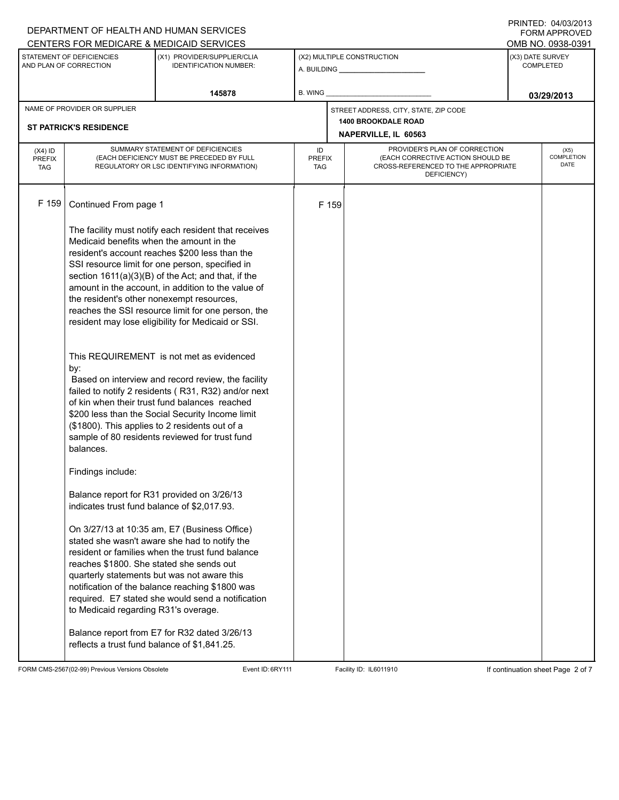|                              |                                                                                         | DEPARTMENT OF HEALTH AND HUMAN SERVICES                                                                  |                            |       |                                                                          |                  | U ININ ILLU. <del>טעו</del> טער<br><b>FORM APPROVED</b> |  |
|------------------------------|-----------------------------------------------------------------------------------------|----------------------------------------------------------------------------------------------------------|----------------------------|-------|--------------------------------------------------------------------------|------------------|---------------------------------------------------------|--|
|                              | STATEMENT OF DEFICIENCIES                                                               | CENTERS FOR MEDICARE & MEDICAID SERVICES<br>(X1) PROVIDER/SUPPLIER/CLIA                                  |                            |       | OMB NO. 0938-0391<br>(X3) DATE SURVEY                                    |                  |                                                         |  |
| AND PLAN OF CORRECTION       |                                                                                         | <b>IDENTIFICATION NUMBER:</b>                                                                            | (X2) MULTIPLE CONSTRUCTION |       |                                                                          | <b>COMPLETED</b> |                                                         |  |
|                              |                                                                                         | 145878                                                                                                   | B. WING                    |       |                                                                          |                  |                                                         |  |
| NAME OF PROVIDER OR SUPPLIER |                                                                                         |                                                                                                          |                            |       |                                                                          | 03/29/2013       |                                                         |  |
|                              |                                                                                         |                                                                                                          |                            |       | STREET ADDRESS, CITY, STATE, ZIP CODE<br><b>1400 BROOKDALE ROAD</b>      |                  |                                                         |  |
|                              | <b>ST PATRICK'S RESIDENCE</b>                                                           |                                                                                                          |                            |       | NAPERVILLE, IL 60563                                                     |                  |                                                         |  |
| $(X4)$ ID                    | SUMMARY STATEMENT OF DEFICIENCIES                                                       |                                                                                                          | ID                         |       | PROVIDER'S PLAN OF CORRECTION                                            |                  | (X5)                                                    |  |
| <b>PREFIX</b><br><b>TAG</b>  | (EACH DEFICIENCY MUST BE PRECEDED BY FULL<br>REGULATORY OR LSC IDENTIFYING INFORMATION) |                                                                                                          | <b>PREFIX</b><br>TAG       |       | (EACH CORRECTIVE ACTION SHOULD BE<br>CROSS-REFERENCED TO THE APPROPRIATE |                  | <b>COMPLETION</b><br><b>DATE</b>                        |  |
|                              |                                                                                         |                                                                                                          |                            |       | DEFICIENCY)                                                              |                  |                                                         |  |
|                              |                                                                                         |                                                                                                          |                            |       |                                                                          |                  |                                                         |  |
| F 159                        | Continued From page 1                                                                   |                                                                                                          |                            | F 159 |                                                                          |                  |                                                         |  |
|                              |                                                                                         | The facility must notify each resident that receives                                                     |                            |       |                                                                          |                  |                                                         |  |
|                              | Medicaid benefits when the amount in the                                                |                                                                                                          |                            |       |                                                                          |                  |                                                         |  |
|                              |                                                                                         | resident's account reaches \$200 less than the                                                           |                            |       |                                                                          |                  |                                                         |  |
|                              |                                                                                         | SSI resource limit for one person, specified in<br>section $1611(a)(3)(B)$ of the Act; and that, if the  |                            |       |                                                                          |                  |                                                         |  |
|                              |                                                                                         | amount in the account, in addition to the value of                                                       |                            |       |                                                                          |                  |                                                         |  |
|                              | the resident's other nonexempt resources,                                               |                                                                                                          |                            |       |                                                                          |                  |                                                         |  |
|                              |                                                                                         | reaches the SSI resource limit for one person, the<br>resident may lose eligibility for Medicaid or SSI. |                            |       |                                                                          |                  |                                                         |  |
|                              |                                                                                         |                                                                                                          |                            |       |                                                                          |                  |                                                         |  |
|                              |                                                                                         | This REQUIREMENT is not met as evidenced                                                                 |                            |       |                                                                          |                  |                                                         |  |
|                              | by:                                                                                     | Based on interview and record review, the facility                                                       |                            |       |                                                                          |                  |                                                         |  |
|                              |                                                                                         | failed to notify 2 residents (R31, R32) and/or next                                                      |                            |       |                                                                          |                  |                                                         |  |
|                              |                                                                                         | of kin when their trust fund balances reached                                                            |                            |       |                                                                          |                  |                                                         |  |
|                              |                                                                                         | \$200 less than the Social Security Income limit<br>(\$1800). This applies to 2 residents out of a       |                            |       |                                                                          |                  |                                                         |  |
|                              |                                                                                         | sample of 80 residents reviewed for trust fund                                                           |                            |       |                                                                          |                  |                                                         |  |
|                              | balances.                                                                               |                                                                                                          |                            |       |                                                                          |                  |                                                         |  |
|                              | Findings include:                                                                       |                                                                                                          |                            |       |                                                                          |                  |                                                         |  |
|                              |                                                                                         | Balance report for R31 provided on 3/26/13                                                               |                            |       |                                                                          |                  |                                                         |  |
|                              | indicates trust fund balance of \$2,017.93.                                             |                                                                                                          |                            |       |                                                                          |                  |                                                         |  |
|                              |                                                                                         | On 3/27/13 at 10:35 am, E7 (Business Office)                                                             |                            |       |                                                                          |                  |                                                         |  |
|                              |                                                                                         | stated she wasn't aware she had to notify the                                                            |                            |       |                                                                          |                  |                                                         |  |
|                              |                                                                                         | resident or families when the trust fund balance                                                         |                            |       |                                                                          |                  |                                                         |  |
|                              | reaches \$1800. She stated she sends out                                                | quarterly statements but was not aware this                                                              |                            |       |                                                                          |                  |                                                         |  |
|                              |                                                                                         | notification of the balance reaching \$1800 was                                                          |                            |       |                                                                          |                  |                                                         |  |
|                              |                                                                                         | required. E7 stated she would send a notification                                                        |                            |       |                                                                          |                  |                                                         |  |
|                              | to Medicaid regarding R31's overage.                                                    |                                                                                                          |                            |       |                                                                          |                  |                                                         |  |
|                              |                                                                                         | Balance report from E7 for R32 dated 3/26/13                                                             |                            |       |                                                                          |                  |                                                         |  |
|                              | reflects a trust fund balance of \$1,841.25.                                            |                                                                                                          |                            |       |                                                                          |                  |                                                         |  |
|                              |                                                                                         |                                                                                                          |                            |       |                                                                          |                  |                                                         |  |

FORM CMS-2567(02-99) Previous Versions Obsolete Event ID: 6RY111 Facility ID: IL6011910 If continuation sheet Page 2 of 7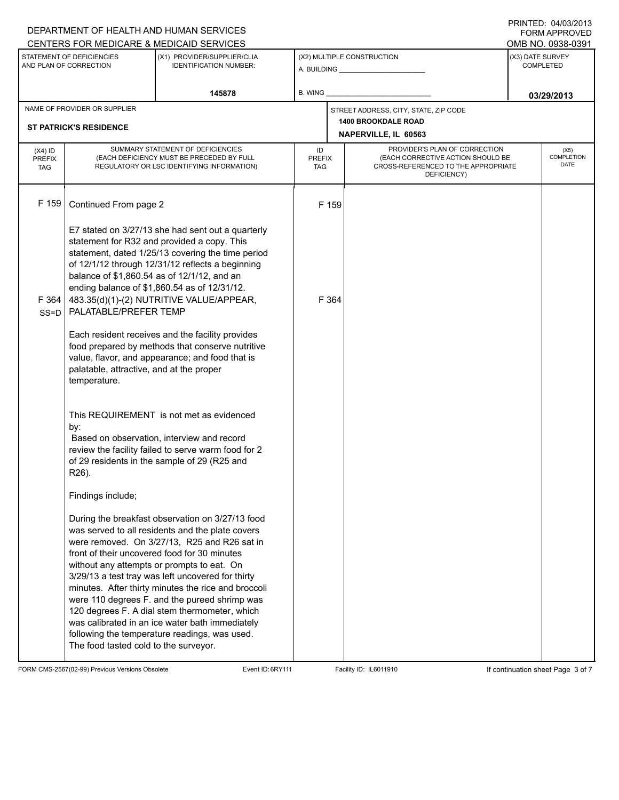| OMB NO. 0938-0391<br>(X3) DATE SURVEY<br><b>COMPLETED</b>                                              |
|--------------------------------------------------------------------------------------------------------|
|                                                                                                        |
| 03/29/2013                                                                                             |
|                                                                                                        |
|                                                                                                        |
| (X5)<br>COMPLETION<br>(EACH CORRECTIVE ACTION SHOULD BE<br>DATE<br>CROSS-REFERENCED TO THE APPROPRIATE |
|                                                                                                        |
|                                                                                                        |
|                                                                                                        |

FORM CMS-2567(02-99) Previous Versions Obsolete Event ID: 6RY111 Facility ID: IL6011910 If continuation sheet Page 3 of 7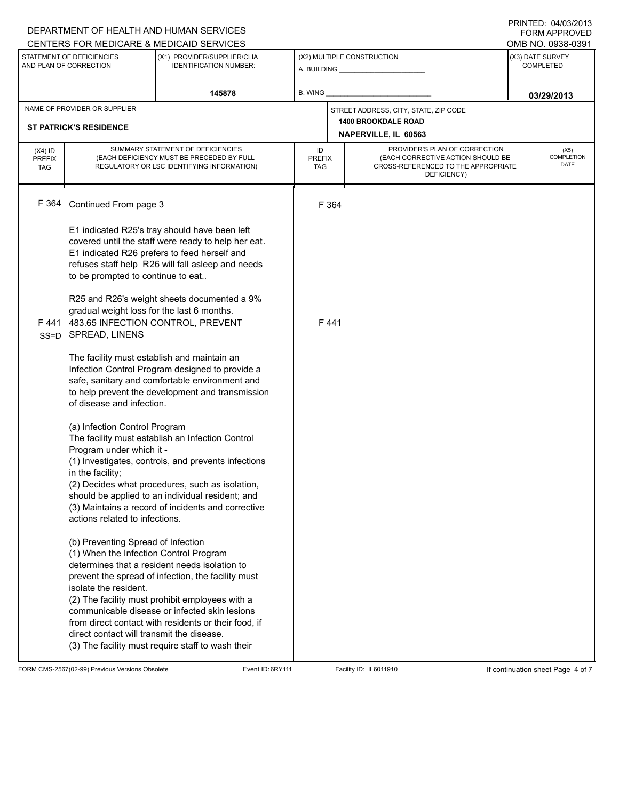|                                                     |                                                                                                                                                                                                                                                                                               | DEPARTMENT OF HEALTH AND HUMAN SERVICES<br>CENTERS FOR MEDICARE & MEDICAID SERVICES                                                                                                                                                                                                                                  |                                                    |      |                                                                                                                          |                                      | 11111111122.0770972019<br><b>FORM APPROVED</b><br>OMB NO. 0938-0391 |
|-----------------------------------------------------|-----------------------------------------------------------------------------------------------------------------------------------------------------------------------------------------------------------------------------------------------------------------------------------------------|----------------------------------------------------------------------------------------------------------------------------------------------------------------------------------------------------------------------------------------------------------------------------------------------------------------------|----------------------------------------------------|------|--------------------------------------------------------------------------------------------------------------------------|--------------------------------------|---------------------------------------------------------------------|
| STATEMENT OF DEFICIENCIES<br>AND PLAN OF CORRECTION |                                                                                                                                                                                                                                                                                               | (X1) PROVIDER/SUPPLIER/CLIA<br><b>IDENTIFICATION NUMBER:</b>                                                                                                                                                                                                                                                         | (X2) MULTIPLE CONSTRUCTION                         |      |                                                                                                                          | (X3) DATE SURVEY<br><b>COMPLETED</b> |                                                                     |
|                                                     |                                                                                                                                                                                                                                                                                               | 145878                                                                                                                                                                                                                                                                                                               | B. WING                                            |      |                                                                                                                          | 03/29/2013                           |                                                                     |
|                                                     | NAME OF PROVIDER OR SUPPLIER                                                                                                                                                                                                                                                                  |                                                                                                                                                                                                                                                                                                                      |                                                    |      | STREET ADDRESS, CITY, STATE, ZIP CODE                                                                                    |                                      |                                                                     |
|                                                     | <b>ST PATRICK'S RESIDENCE</b>                                                                                                                                                                                                                                                                 |                                                                                                                                                                                                                                                                                                                      | <b>1400 BROOKDALE ROAD</b><br>NAPERVILLE, IL 60563 |      |                                                                                                                          |                                      |                                                                     |
| $(X4)$ ID<br><b>PREFIX</b><br><b>TAG</b>            | SUMMARY STATEMENT OF DEFICIENCIES<br>(EACH DEFICIENCY MUST BE PRECEDED BY FULL<br>REGULATORY OR LSC IDENTIFYING INFORMATION)                                                                                                                                                                  |                                                                                                                                                                                                                                                                                                                      | ID<br><b>PREFIX</b><br>TAG                         |      | PROVIDER'S PLAN OF CORRECTION<br>(EACH CORRECTIVE ACTION SHOULD BE<br>CROSS-REFERENCED TO THE APPROPRIATE<br>DEFICIENCY) | (X5)<br>COMPLETION<br>DATE           |                                                                     |
| F 364                                               | Continued From page 3                                                                                                                                                                                                                                                                         |                                                                                                                                                                                                                                                                                                                      | F 364                                              |      |                                                                                                                          |                                      |                                                                     |
|                                                     | E1 indicated R25's tray should have been left<br>covered until the staff were ready to help her eat.<br>E1 indicated R26 prefers to feed herself and<br>refuses staff help R26 will fall asleep and needs<br>to be prompted to continue to eat<br>R25 and R26's weight sheets documented a 9% |                                                                                                                                                                                                                                                                                                                      |                                                    |      |                                                                                                                          |                                      |                                                                     |
| F441<br>$SS = D$                                    | SPREAD, LINENS                                                                                                                                                                                                                                                                                | gradual weight loss for the last 6 months.<br>483.65 INFECTION CONTROL, PREVENT                                                                                                                                                                                                                                      |                                                    | F441 |                                                                                                                          |                                      |                                                                     |
|                                                     | The facility must establish and maintain an<br>Infection Control Program designed to provide a<br>safe, sanitary and comfortable environment and<br>to help prevent the development and transmission<br>of disease and infection.                                                             |                                                                                                                                                                                                                                                                                                                      |                                                    |      |                                                                                                                          |                                      |                                                                     |
|                                                     | (a) Infection Control Program<br>Program under which it -<br>in the facility;<br>actions related to infections.                                                                                                                                                                               | The facility must establish an Infection Control<br>(1) Investigates, controls, and prevents infections<br>(2) Decides what procedures, such as isolation,<br>should be applied to an individual resident; and<br>(3) Maintains a record of incidents and corrective                                                 |                                                    |      |                                                                                                                          |                                      |                                                                     |
|                                                     | (b) Preventing Spread of Infection<br>(1) When the Infection Control Program<br>isolate the resident.<br>direct contact will transmit the disease.                                                                                                                                            | determines that a resident needs isolation to<br>prevent the spread of infection, the facility must<br>(2) The facility must prohibit employees with a<br>communicable disease or infected skin lesions<br>from direct contact with residents or their food, if<br>(3) The facility must require staff to wash their |                                                    |      |                                                                                                                          |                                      |                                                                     |

FORM CMS-2567(02-99) Previous Versions Obsolete Event ID: 6RY111 Facility ID: IL6011910 If continuation sheet Page 4 of 7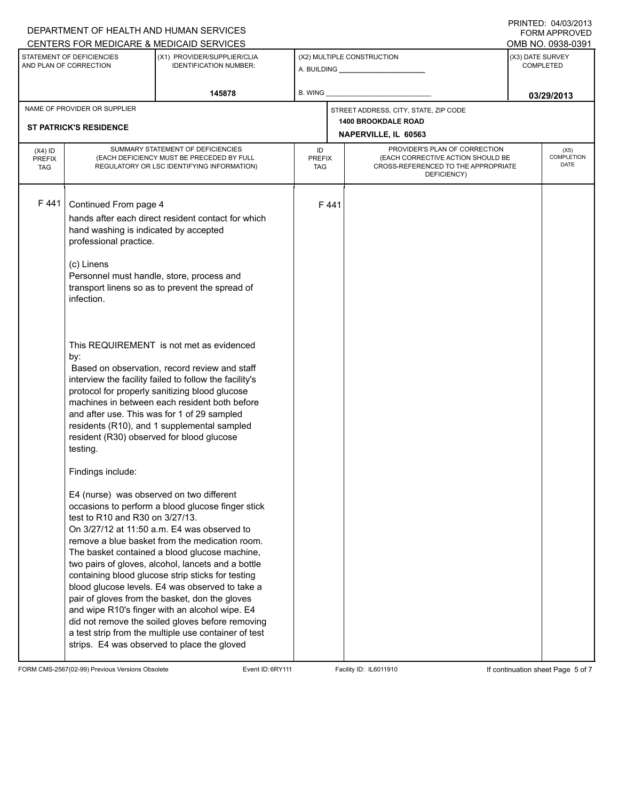| OMB NO. 0938-0391                        |  |  |
|------------------------------------------|--|--|
|                                          |  |  |
| (X3) DATE SURVEY<br><b>COMPLETED</b>     |  |  |
| 03/29/2013                               |  |  |
|                                          |  |  |
|                                          |  |  |
| (X5)<br><b>COMPLETION</b><br><b>DATE</b> |  |  |
|                                          |  |  |
|                                          |  |  |

FORM CMS-2567(02-99) Previous Versions Obsolete Event ID: 6RY111 Facility ID: IL6011910 If continuation sheet Page 5 of 7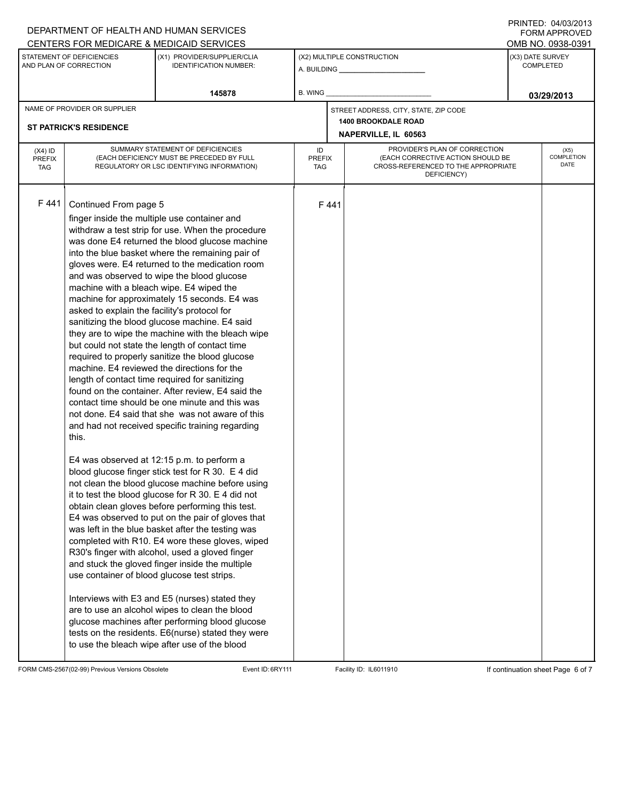|                                                     |                                                                                         | DEPARTMENT OF HEALTH AND HUMAN SERVICES<br><b>CENTERS FOR MEDICARE &amp; MEDICAID SERVICES</b>      |                             |                            |                                                                          |      | FORM APPROVED<br>OMB NO. 0938-0391 |  |
|-----------------------------------------------------|-----------------------------------------------------------------------------------------|-----------------------------------------------------------------------------------------------------|-----------------------------|----------------------------|--------------------------------------------------------------------------|------|------------------------------------|--|
|                                                     |                                                                                         | (X1) PROVIDER/SUPPLIER/CLIA                                                                         |                             |                            |                                                                          |      |                                    |  |
| STATEMENT OF DEFICIENCIES<br>AND PLAN OF CORRECTION |                                                                                         | <b>IDENTIFICATION NUMBER:</b>                                                                       |                             | (X2) MULTIPLE CONSTRUCTION |                                                                          |      | (X3) DATE SURVEY<br>COMPLETED      |  |
| 145878                                              |                                                                                         |                                                                                                     | B. WING                     |                            |                                                                          |      | 03/29/2013                         |  |
|                                                     | NAME OF PROVIDER OR SUPPLIER                                                            |                                                                                                     |                             |                            | STREET ADDRESS, CITY, STATE, ZIP CODE                                    |      |                                    |  |
|                                                     | <b>ST PATRICK'S RESIDENCE</b>                                                           |                                                                                                     |                             |                            | <b>1400 BROOKDALE ROAD</b>                                               |      |                                    |  |
|                                                     |                                                                                         |                                                                                                     |                             | NAPERVILLE, IL 60563       |                                                                          |      |                                    |  |
| $(X4)$ ID                                           | SUMMARY STATEMENT OF DEFICIENCIES                                                       |                                                                                                     | ID                          |                            | PROVIDER'S PLAN OF CORRECTION                                            | (X5) |                                    |  |
| <b>PREFIX</b>                                       | (EACH DEFICIENCY MUST BE PRECEDED BY FULL<br>REGULATORY OR LSC IDENTIFYING INFORMATION) |                                                                                                     | <b>PREFIX</b><br><b>TAG</b> |                            | (EACH CORRECTIVE ACTION SHOULD BE<br>CROSS-REFERENCED TO THE APPROPRIATE |      | COMPLETION<br>DATE                 |  |
| <b>TAG</b>                                          |                                                                                         |                                                                                                     |                             |                            | DEFICIENCY)                                                              |      |                                    |  |
|                                                     |                                                                                         |                                                                                                     |                             |                            |                                                                          |      |                                    |  |
| F441                                                | Continued From page 5                                                                   |                                                                                                     |                             | F441                       |                                                                          |      |                                    |  |
|                                                     |                                                                                         |                                                                                                     |                             |                            |                                                                          |      |                                    |  |
|                                                     |                                                                                         | finger inside the multiple use container and                                                        |                             |                            |                                                                          |      |                                    |  |
|                                                     |                                                                                         | withdraw a test strip for use. When the procedure<br>was done E4 returned the blood glucose machine |                             |                            |                                                                          |      |                                    |  |
|                                                     |                                                                                         | into the blue basket where the remaining pair of                                                    |                             |                            |                                                                          |      |                                    |  |
|                                                     |                                                                                         | gloves were. E4 returned to the medication room                                                     |                             |                            |                                                                          |      |                                    |  |
|                                                     |                                                                                         | and was observed to wipe the blood glucose                                                          |                             |                            |                                                                          |      |                                    |  |
|                                                     | machine with a bleach wipe. E4 wiped the                                                |                                                                                                     |                             |                            |                                                                          |      |                                    |  |
|                                                     |                                                                                         | machine for approximately 15 seconds. E4 was                                                        |                             |                            |                                                                          |      |                                    |  |
|                                                     | asked to explain the facility's protocol for                                            |                                                                                                     |                             |                            |                                                                          |      |                                    |  |
|                                                     |                                                                                         | sanitizing the blood glucose machine. E4 said                                                       |                             |                            |                                                                          |      |                                    |  |
|                                                     |                                                                                         | they are to wipe the machine with the bleach wipe                                                   |                             |                            |                                                                          |      |                                    |  |
|                                                     |                                                                                         | but could not state the length of contact time                                                      |                             |                            |                                                                          |      |                                    |  |
|                                                     |                                                                                         | required to properly sanitize the blood glucose                                                     |                             |                            |                                                                          |      |                                    |  |
|                                                     |                                                                                         | machine. E4 reviewed the directions for the                                                         |                             |                            |                                                                          |      |                                    |  |
|                                                     |                                                                                         | length of contact time required for sanitizing                                                      |                             |                            |                                                                          |      |                                    |  |
|                                                     |                                                                                         | found on the container. After review, E4 said the<br>contact time should be one minute and this was |                             |                            |                                                                          |      |                                    |  |
|                                                     |                                                                                         | not done. E4 said that she was not aware of this                                                    |                             |                            |                                                                          |      |                                    |  |
|                                                     |                                                                                         | and had not received specific training regarding                                                    |                             |                            |                                                                          |      |                                    |  |
|                                                     | this.                                                                                   |                                                                                                     |                             |                            |                                                                          |      |                                    |  |
|                                                     |                                                                                         |                                                                                                     |                             |                            |                                                                          |      |                                    |  |
|                                                     |                                                                                         | E4 was observed at 12:15 p.m. to perform a                                                          |                             |                            |                                                                          |      |                                    |  |
|                                                     |                                                                                         | blood glucose finger stick test for R 30. E 4 did                                                   |                             |                            |                                                                          |      |                                    |  |
|                                                     |                                                                                         | not clean the blood glucose machine before using                                                    |                             |                            |                                                                          |      |                                    |  |
|                                                     |                                                                                         | it to test the blood glucose for $R$ 30. E 4 did not                                                |                             |                            |                                                                          |      |                                    |  |
|                                                     |                                                                                         | obtain clean gloves before performing this test.                                                    |                             |                            |                                                                          |      |                                    |  |
|                                                     |                                                                                         | E4 was observed to put on the pair of gloves that                                                   |                             |                            |                                                                          |      |                                    |  |
|                                                     |                                                                                         | was left in the blue basket after the testing was                                                   |                             |                            |                                                                          |      |                                    |  |
|                                                     |                                                                                         | completed with R10. E4 wore these gloves, wiped                                                     |                             |                            |                                                                          |      |                                    |  |
|                                                     |                                                                                         | R30's finger with alcohol, used a gloved finger                                                     |                             |                            |                                                                          |      |                                    |  |
|                                                     |                                                                                         | and stuck the gloved finger inside the multiple                                                     |                             |                            |                                                                          |      |                                    |  |
|                                                     | use container of blood glucose test strips.                                             |                                                                                                     |                             |                            |                                                                          |      |                                    |  |
|                                                     |                                                                                         | Interviews with E3 and E5 (nurses) stated they                                                      |                             |                            |                                                                          |      |                                    |  |
|                                                     |                                                                                         | are to use an alcohol wipes to clean the blood                                                      |                             |                            |                                                                          |      |                                    |  |
|                                                     |                                                                                         | glucose machines after performing blood glucose                                                     |                             |                            |                                                                          |      |                                    |  |
|                                                     |                                                                                         | tests on the residents. E6(nurse) stated they were                                                  |                             |                            |                                                                          |      |                                    |  |
|                                                     |                                                                                         | to use the bleach wipe after use of the blood                                                       |                             |                            |                                                                          |      |                                    |  |
|                                                     |                                                                                         |                                                                                                     |                             |                            |                                                                          |      |                                    |  |

FORM CMS-2567(02-99) Previous Versions Obsolete Event ID: 6RY111 Facility ID: IL6011910 If continuation sheet Page 6 of 7

DEPARTMENT OF HEALTH AND HUMAN SERVICES